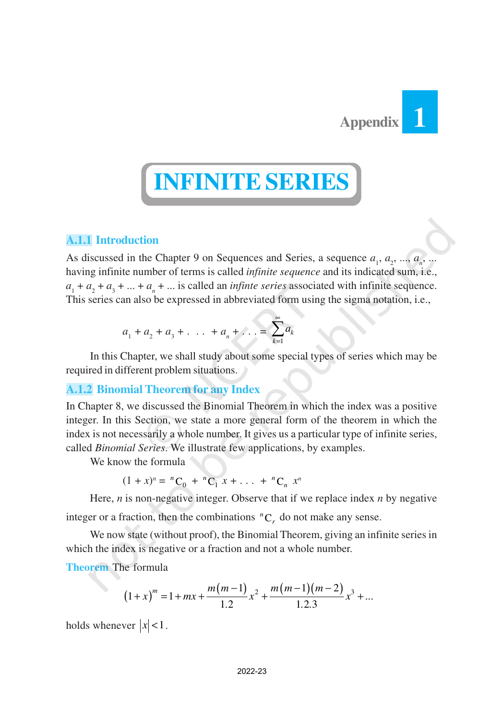

# **INFINITE SERIES**

# **A.1.1 Introduction**

As discussed in the Chapter 9 on Sequences and Series, a sequence  $a_1, a_2, ..., a_n, ...$ having infinite number of terms is called *infinite sequence* and its indicated sum, i.e.,  $a_1 + a_2 + a_3 + \dots + a_n + \dots$  is called an *infinte series* associated with infinite sequence. This series can also be expressed in abbreviated form using the sigma notation, i.e.,

$$
a_1 + a_2 + a_3 + \ldots + a_n + \ldots = \sum_{k=1}^{\infty} a_k
$$

In this Chapter, we shall study about some special types of series which may be required in different problem situations.

# **A.1.2 Binomial Theorem for any Index**

In Chapter 8, we discussed the Binomial Theorem in which the index was a positive integer. In this Section, we state a more general form of the theorem in which the index is not necessarily a whole number. It gives us a particular type of infinite series, called *Binomial Series*. We illustrate few applications, by examples.

We know the formula

 $(1 + x)^n = {}^nC_0 + {}^nC_1 x + \dots + {}^nC_n x^n$ 

Here, *n* is non-negative integer. Observe that if we replace index *n* by negative

integer or a fraction, then the combinations  ${}^nC_r$  do not make any sense.

We now state (without proof), the Binomial Theorem, giving an infinite series in which the index is negative or a fraction and not a whole number.

**Theorem** The formula

$$
(1+x)^m = 1 + mx + \frac{m(m-1)}{1.2}x^2 + \frac{m(m-1)(m-2)}{1.2.3}x^3 + \dots
$$

holds whenever  $|x| < 1$ .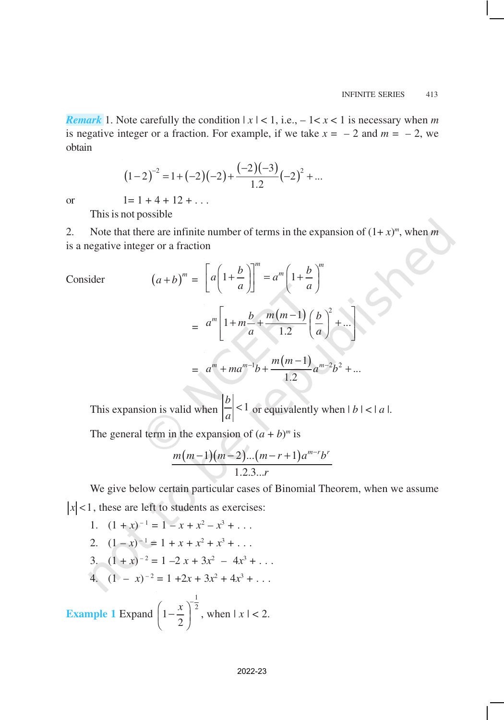*Remark* 1. Note carefully the condition  $|x| < 1$ , i.e.,  $-1 < x < 1$  is necessary when *m* is negative integer or a fraction. For example, if we take  $x = -2$  and  $m = -2$ , we obtain

$$
(1-2)^{-2} = 1 + (-2)(-2) + \frac{(-2)(-3)}{1.2}(-2)^{2} + ...
$$

or  $1=1+4+12+\ldots$ 

This is not possible

2. Note that there are infinite number of terms in the expansion of  $(1+x)^m$ , when *m* is a negative integer or a fraction

Consider  
\n
$$
(a+b)^m = \left[a\left(1+\frac{b}{a}\right)\right]^m = a^m\left(1+\frac{b}{a}\right)^m
$$
\n
$$
= a^m\left[1+m\frac{b}{a}+\frac{m(m-1)}{1.2}\left(\frac{b}{a}\right)^2+\dots\right]
$$
\n
$$
= a^m + ma^{m-1}b + \frac{m(m-1)}{1.2}a^{m-2}b^2 + \dots
$$

This expansion is valid when  $\left|\frac{b}{a}\right| < 1$  $\frac{a}{a}$  < 1 or equivalently when  $|b| < |a|$ .

The general term in the expansion of  $(a + b)^m$  is

$$
\frac{m(m-1)(m-2)...(m-r+1)a^{m-r}b^r}{1.2.3...r}
$$

We give below certain particular cases of Binomial Theorem, when we assume  $|x|$  < 1, these are left to students as exercises:

1. 
$$
(1 + x)^{-1} = 1 - x + x^2 - x^3 + \dots
$$
  
\n2.  $(1 - x)^{-1} = 1 + x + x^2 + x^3 + \dots$   
\n3.  $(1 + x)^{-2} = 1 - 2x + 3x^2 - 4x^3 + \dots$   
\n4.  $(1 - x)^{-2} = 1 + 2x + 3x^2 + 4x^3 + \dots$   
\nExample 1 Expand  $\left(1 - \frac{x}{2}\right)^{\frac{1}{2}}$ , when  $|x| < 2$ .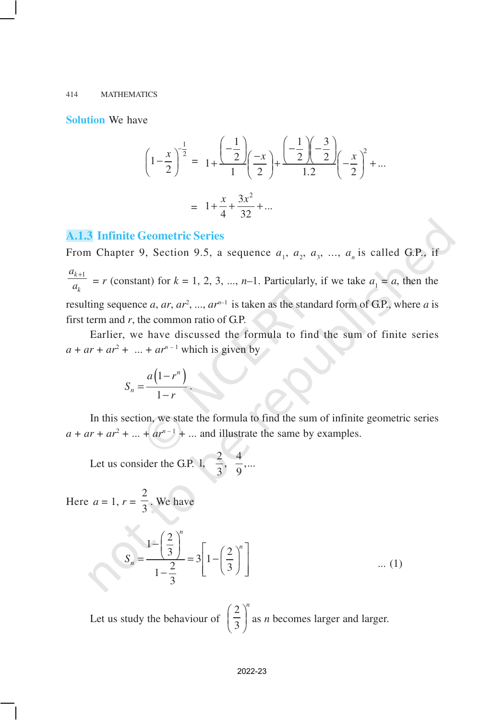**Solution** We have

$$
\left(1 - \frac{x}{2}\right)^{-\frac{1}{2}} = 1 + \frac{\left(-\frac{1}{2}\right)}{1}\left(\frac{-x}{2}\right) + \frac{\left(-\frac{1}{2}\right)\left(-\frac{3}{2}\right)}{1\cdot2}\left(-\frac{x}{2}\right)^{2} + \dots
$$

$$
= 1 + \frac{x}{4} + \frac{3x^{2}}{32} + \dots
$$

## **A.1.3 Infinite Geometric Series**

From Chapter 9, Section 9.5, a sequence  $a_1$ ,  $a_2$ ,  $a_3$ , ...,  $a_n$  is called G.P., if *k* +1 *k a*  $\frac{a_{11}}{a_k}$  = *r* (constant) for *k* = 1, 2, 3, ..., *n*–1. Particularly, if we take  $a_1 = a$ , then the resulting sequence *a*, *ar*, *ar*<sup>2</sup>, ..., *ar*<sup>*n*-1</sup> is taken as the standard form of G.P., where *a* is first term and *r*, the common ratio of G.P.

Earlier, we have discussed the formula to find the sum of finite series  $a + ar + ar^2 + ... + ar^{n-1}$  which is given by

$$
S_n = \frac{a(1 - r^n)}{1 - r}.
$$

In this section, we state the formula to find the sum of infinite geometric series  $a + ar + ar^2 + \dots + ar^{n-1} + \dots$  and illustrate the same by examples.

Let us consider the G.P. 1,  $\frac{2}{3}$ ,  $\frac{4}{9}$ ,...  $3^{6}$  9

Here 
$$
a = 1
$$
,  $r = \frac{2}{3}$ . We have

$$
S_n = \frac{1 - \left(\frac{2}{3}\right)^n}{1 - \frac{2}{3}} = 3 \left[ 1 - \left(\frac{2}{3}\right)^n \right]
$$
 ... (1)

Let us study the behaviour of 2 3  $\left(\frac{2}{3}\right)^n$  as *n* becomes larger and larger.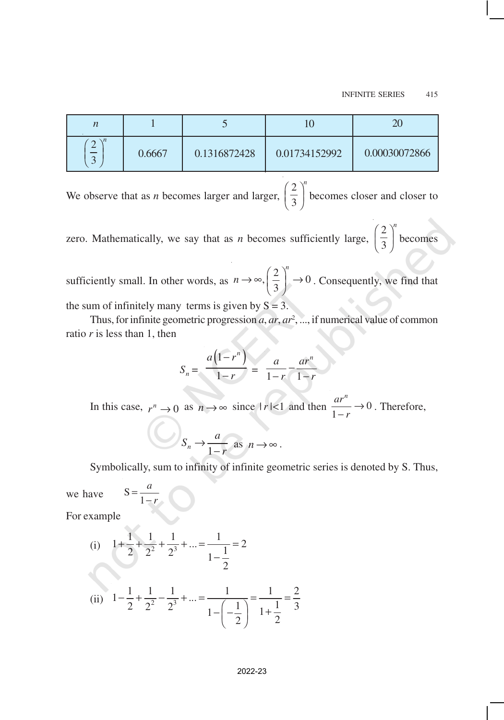| n                            |        |              |               | 20            |
|------------------------------|--------|--------------|---------------|---------------|
| $\setminus n$<br>$\sim$<br>⌒ | 0.6667 | 0.1316872428 | 0.01734152992 | 0.00030072866 |

We observe that as *n* becomes larger and larger, 2 3  $\left(\frac{2}{3}\right)^n$  becomes closer and closer to

zero. Mathematically, we say that as *n* becomes sufficiently large, 2 3  $\left(\frac{2}{3}\right)^n$  becomes

sufficiently small. In other words, as  $\left(\frac{2}{2}\right)^n \rightarrow 0$ 3 *n*  $n \rightarrow \infty$ ,  $\left(\frac{2}{3}\right)^n \rightarrow 0$ . Consequently, we find that the sum of infinitely many terms is given by  $S = 3$ .

Thus, for infinite geometric progression *a*, *ar*, *ar*<sup>2</sup> , ..., if numerical value of common ratio *r* is less than 1, then

$$
S_n = \frac{a(1 - r^n)}{1 - r} = \frac{a}{1 - r} - \frac{ar^n}{1 - r}
$$

In this case,  $r^n \to 0$  as  $n \to \infty$  since  $|r| < 1$  and then  $\frac{dr}{1-r} \to 0$ *n ar r*  $\rightarrow$  $\frac{m}{r} \rightarrow 0$ . Therefore,

$$
S_n \to \frac{a}{1-r} \text{ as } n \to \infty.
$$

Symbolically, sum to infinity of infinite geometric series is denoted by S. Thus,

we have = 1 *a r*

−

For example

(i) 
$$
1 + \frac{1}{2} + \frac{1}{2^2} + \frac{1}{2^3} + \dots = \frac{1}{1 - \frac{1}{2}} = 2
$$
  
\n(ii)  $1 - \frac{1}{2} + \frac{1}{2^2} - \frac{1}{2^3} + \dots = \frac{1}{1 - \left(-\frac{1}{2}\right)} = \frac{1}{1 + \frac{1}{2}} = \frac{2}{3}$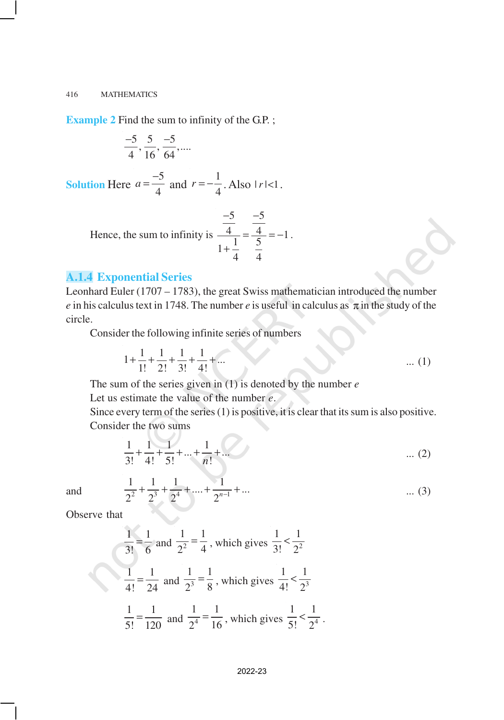**Example 2** Find the sum to infinity of the G.P.;

$$
\frac{-5}{4}, \frac{5}{16}, \frac{-5}{64}, \dots
$$

**Solution** Here  $a = \frac{-5}{4}$ 4  $a = \frac{-5}{4}$  and  $r = -\frac{1}{4}$  $r = -\frac{1}{4}$ . Also  $|r| < 1$ .

Hence, the sum to infinity is 
$$
\frac{\frac{-5}{4}}{1 + \frac{1}{4}} = \frac{\frac{-5}{4}}{\frac{5}{4}} = -1
$$
.

## **A.1.4 Exponential Series**

Leonhard Euler (1707 – 1783), the great Swiss mathematician introduced the number *e* in his calculus text in 1748. The number *e* is useful in calculus as  $\pi$  in the study of the circle.

Consider the following infinite series of numbers

$$
1 + \frac{1}{1!} + \frac{1}{2!} + \frac{1}{3!} + \frac{1}{4!} + \dots
$$
 (1)

The sum of the series given in (1) is denoted by the number *e* Let us estimate the value of the number *e*.

Since every term of the series (1) is positive, it is clear that its sum is also positive. Consider the two sums

$$
\frac{1}{3!} + \frac{1}{4!} + \frac{1}{5!} + \dots + \frac{1}{n!} + \dots
$$
 (2)

and 
$$
\frac{1}{2^2} + \frac{1}{2^3} + \frac{1}{2^4} + \dots + \frac{1}{2^{n-1}} + \dots
$$
 (3)

Observe that

$$
\frac{1}{3!} = \frac{1}{6} \text{ and } \frac{1}{2^2} = \frac{1}{4}, \text{ which gives } \frac{1}{3!} < \frac{1}{2^2}
$$

$$
\frac{1}{4!} = \frac{1}{24} \text{ and } \frac{1}{2^3} = \frac{1}{8}, \text{ which gives } \frac{1}{4!} < \frac{1}{2^3}
$$

$$
\frac{1}{5!} = \frac{1}{120} \text{ and } \frac{1}{2^4} = \frac{1}{16}, \text{ which gives } \frac{1}{5!} < \frac{1}{2^4}.
$$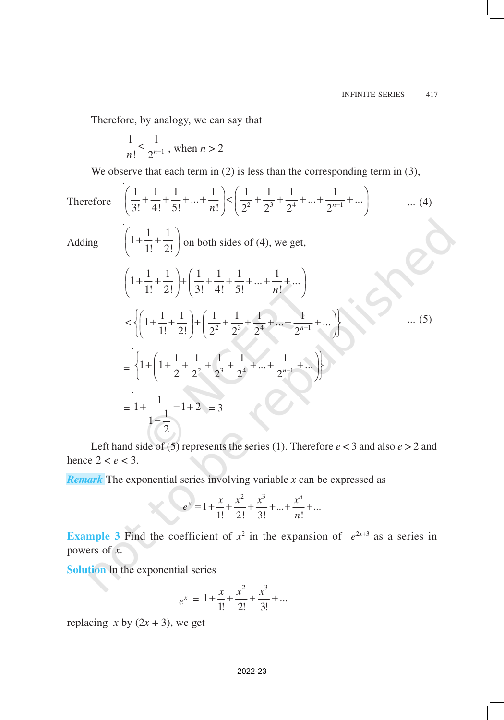Therefore, by analogy, we can say that

$$
\frac{1}{n!} < \frac{1}{2^{n-1}}
$$
, when  $n > 2$ 

We observe that each term in (2) is less than the corresponding term in (3),

Therefore 
$$
\left(\frac{1}{3!} + \frac{1}{4!} + \frac{1}{5!} + ... + \frac{1}{n!}\right) < \left(\frac{1}{2^2} + \frac{1}{2^3} + \frac{1}{2^4} + ... + \frac{1}{2^{n-1}} + ...\right)
$$
 ... (4)  
\nAdding  $\left(1 + \frac{1}{1!} + \frac{1}{2!}\right)$  on both sides of (4), we get,  
\n $\left(1 + \frac{1}{1!} + \frac{1}{2!}\right) + \left(\frac{1}{3!} + \frac{1}{4!} + \frac{1}{5!} + ... + \frac{1}{n!} + ...\right)$   
\n $\left(\left(1 + \frac{1}{1!} + \frac{1}{2!}\right) + \left(\frac{1}{2^2} + \frac{1}{2^3} + \frac{1}{2^4} + ... + \frac{1}{2^{n-1}} + ...\right)\right)$   
\n $= \left\{1 + \left(1 + \frac{1}{2} + \frac{1}{2^2} + \frac{1}{2^3} + \frac{1}{2^4} + ... + \frac{1}{2^{n-1}} + ...\right)\right\}$  ... (5)  
\n $= 1 + \frac{1}{1 - \frac{1}{2}} = 1 + 2 = 3$ 

Left hand side of (5) represents the series (1). Therefore  $e < 3$  and also  $e > 2$  and hence  $2 < e < 3$ .

*Remark* The exponential series involving variable *x* can be expressed as

$$
e^{x} = 1 + \frac{x}{1!} + \frac{x^{2}}{2!} + \frac{x^{3}}{3!} + \dots + \frac{x^{n}}{n!} + \dots
$$

**Example 3** Find the coefficient of  $x^2$  in the expansion of  $e^{2x+3}$  as a series in powers of *x*.

**Solution** In the exponential series

$$
e^x = 1 + \frac{x}{1!} + \frac{x^2}{2!} + \frac{x^3}{3!} + \dots
$$

replacing  $x$  by  $(2x + 3)$ , we get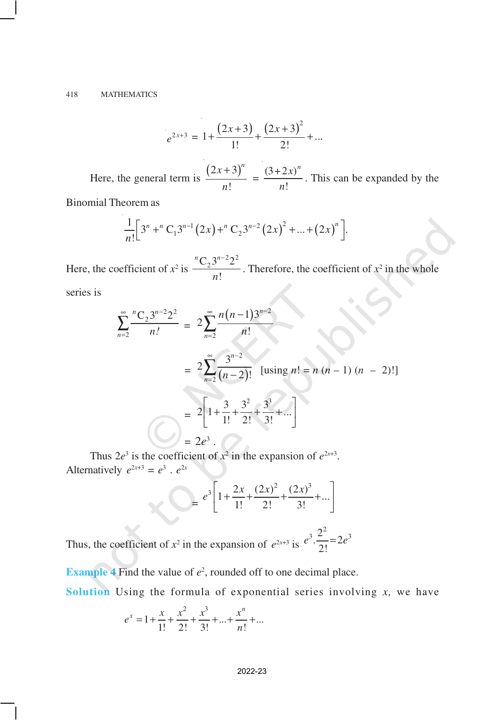$$
e^{2x+3} = 1 + \frac{(2x+3)}{1!} + \frac{(2x+3)^2}{2!} + \dots
$$

Here, the general term is  $\frac{(2x+3)^{3}}{1}$ !  $(x+3)^n$ *n* +  $=\frac{(3+2x)}{1}$ ! *n x*  $\frac{2m}{n!}$ . This can be expanded by the

Binomial Theorem as

$$
\frac{1}{n!} \Big[3^n +^nC_13^{n-1}(2x) +^nC_23^{n-2}(2x)^2 + ... + (2x)^n \Big].
$$

Here, the coefficient of  $x^2$  is  $\frac{{}^{n}C_2 3^{n-2}2^2}{}$ ! *n n*−  $\frac{m!}{n!}$ . Therefore, the coefficient of  $x^2$  in the whole

series is

$$
\sum_{n=2}^{\infty} \frac{{}^{n}C_2 3^{n-2} 2^2} {n!} = 2 \sum_{n=2}^{\infty} \frac{n(n-1)3^{n-2}}{n!}
$$
  
=  $2 \sum_{n=2}^{\infty} \frac{3^{n-2}}{(n-2)!}$  [using  $n! = n (n - 1) (n - 2)!$ ]  
=  $2 \left[ 1 + \frac{3}{1!} + \frac{3^2}{2!} + \frac{3^3}{3!} + ... \right]$   
=  $2e^3$ .

Thus  $2e^3$  is the coefficient of  $x^2$  in the expansion of  $e^{2x+3}$ . Alternatively  $e^{2x+3} = e^3 \cdot e^{2x}$ 

$$
= e^{3} \left[ 1 + \frac{2x}{1!} + \frac{(2x)^{2}}{2!} + \frac{(2x)^{3}}{3!} + \dots \right]
$$
  
Thus, the coefficient of  $x^{2}$  in the expansion of  $e^{2x+3}$  is  $e^{3} \cdot \frac{2^{2}}{2!} = 2e^{3}$ 

**Example 4** Find the value of  $e^2$ , rounded off to one decimal place.

**Solution** Using the formula of exponential series involving *x,* we have

$$
e^{x} = 1 + \frac{x}{1!} + \frac{x^{2}}{2!} + \frac{x^{3}}{3!} + \dots + \frac{x^{n}}{n!} + \dots
$$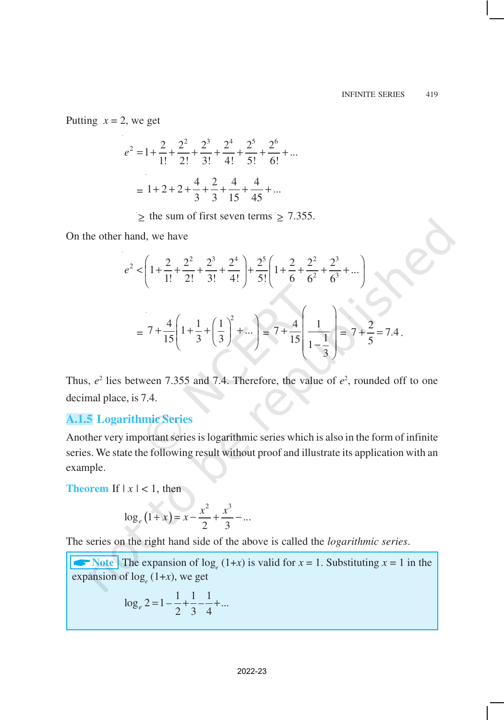Putting  $x = 2$ , we get

$$
e^{2} = 1 + \frac{2}{1!} + \frac{2^{2}}{2!} + \frac{2^{3}}{3!} + \frac{2^{4}}{4!} + \frac{2^{5}}{5!} + \frac{2^{6}}{6!} + \dots
$$

$$
= 1 + 2 + 2 + \frac{4}{3} + \frac{2}{3} + \frac{4}{15} + \frac{4}{45} + \dots
$$

 $\geq$  the sum of first seven terms  $\geq$  7.355.

On the other hand, we have

$$
e^{2} < \left(1 + \frac{2}{1!} + \frac{2^{2}}{2!} + \frac{2^{3}}{3!} + \frac{2^{4}}{4!}\right) + \frac{2^{5}}{5!} \left(1 + \frac{2}{6} + \frac{2^{2}}{6^{2}} + \frac{2^{3}}{6^{3}} + \dots\right)
$$
  
=  $7 + \frac{4}{15} \left(1 + \frac{1}{3} + \left(\frac{1}{3}\right)^{2} + \dots\right) = 7 + \frac{4}{15} \left(\frac{1}{1 - \frac{1}{3}}\right) = 7 + \frac{2}{5} = 7.4$ .

Thus,  $e^2$  lies between 7.355 and 7.4. Therefore, the value of  $e^2$ , rounded off to one decimal place, is 7.4.

## **A.1.5 Logarithmic Series**

Another very important series is logarithmic series which is also in the form of infinite series. We state the following result without proof and illustrate its application with an example.

**Theorem** If  $|x| < 1$ , then

$$
\log_e(1+x) = x - \frac{x^2}{2} + \frac{x^3}{3} - \dots
$$

The series on the right hand side of the above is called the *logarithmic series*.

Arr Note The expansion of  $\log_e(1+x)$  is valid for  $x = 1$ . Substituting  $x = 1$  in the expansion of  $\log_e(1+x)$ , we get

$$
\log_e 2 = 1 - \frac{1}{2} + \frac{1}{3} - \frac{1}{4} + \dots
$$